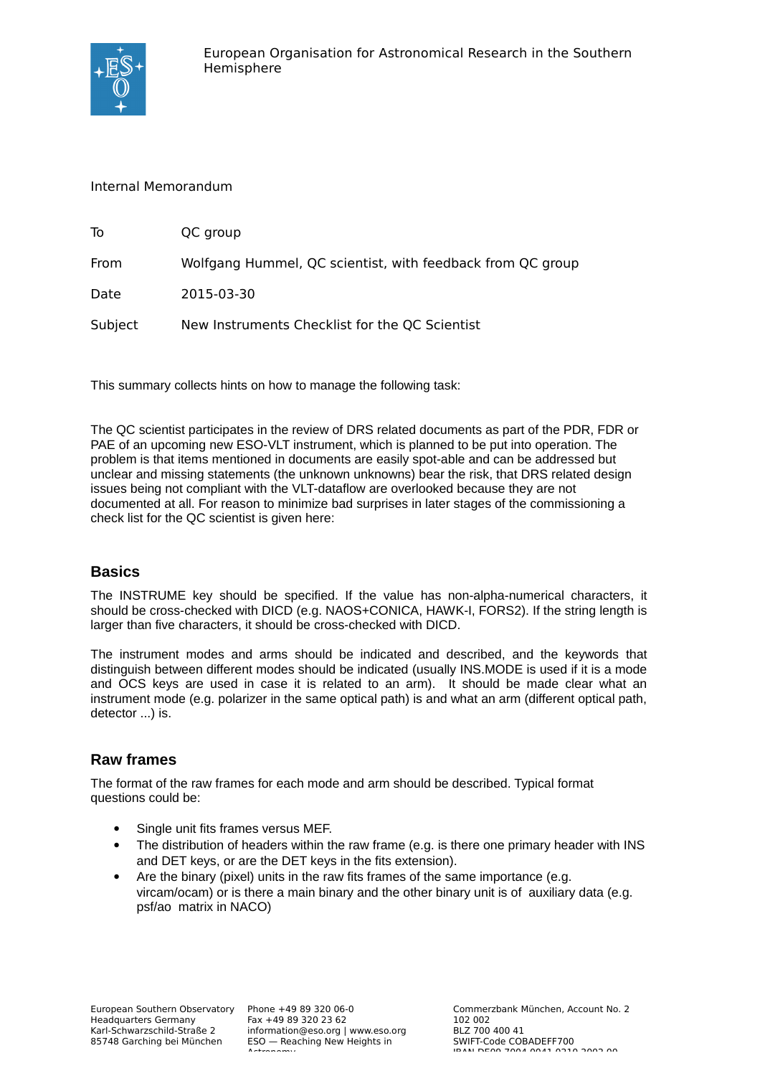

#### Internal Memorandum

| To      | QC group                                                   |
|---------|------------------------------------------------------------|
| From    | Wolfgang Hummel, QC scientist, with feedback from QC group |
| Date    | 2015-03-30                                                 |
| Subject | New Instruments Checklist for the QC Scientist             |

This summary collects hints on how to manage the following task:

The QC scientist participates in the review of DRS related documents as part of the PDR, FDR or PAE of an upcoming new ESO-VLT instrument, which is planned to be put into operation. The problem is that items mentioned in documents are easily spot-able and can be addressed but unclear and missing statements (the unknown unknowns) bear the risk, that DRS related design issues being not compliant with the VLT-dataflow are overlooked because they are not documented at all. For reason to minimize bad surprises in later stages of the commissioning a check list for the QC scientist is given here:

### **Basics**

The INSTRUME key should be specified. If the value has non-alpha-numerical characters, it should be cross-checked with DICD (e.g. NAOS+CONICA, HAWK-I, FORS2). If the string length is larger than five characters, it should be cross-checked with DICD.

The instrument modes and arms should be indicated and described, and the keywords that distinguish between different modes should be indicated (usually INS.MODE is used if it is a mode and OCS keys are used in case it is related to an arm). It should be made clear what an instrument mode (e.g. polarizer in the same optical path) is and what an arm (different optical path, detector ...) is.

### **Raw frames**

The format of the raw frames for each mode and arm should be described. Typical format questions could be:

- Single unit fits frames versus MEF.
- The distribution of headers within the raw frame (e.g. is there one primary header with INS and DET keys, or are the DET keys in the fits extension).
- Are the binary (pixel) units in the raw fits frames of the same importance (e.g. vircam/ocam) or is there a main binary and the other binary unit is of auxiliary data (e.g. psf/ao matrix in NACO)

Fax +49 89 320 23 62 information@eso.org | www.eso.org ESO — Reaching New Heights in Astronomy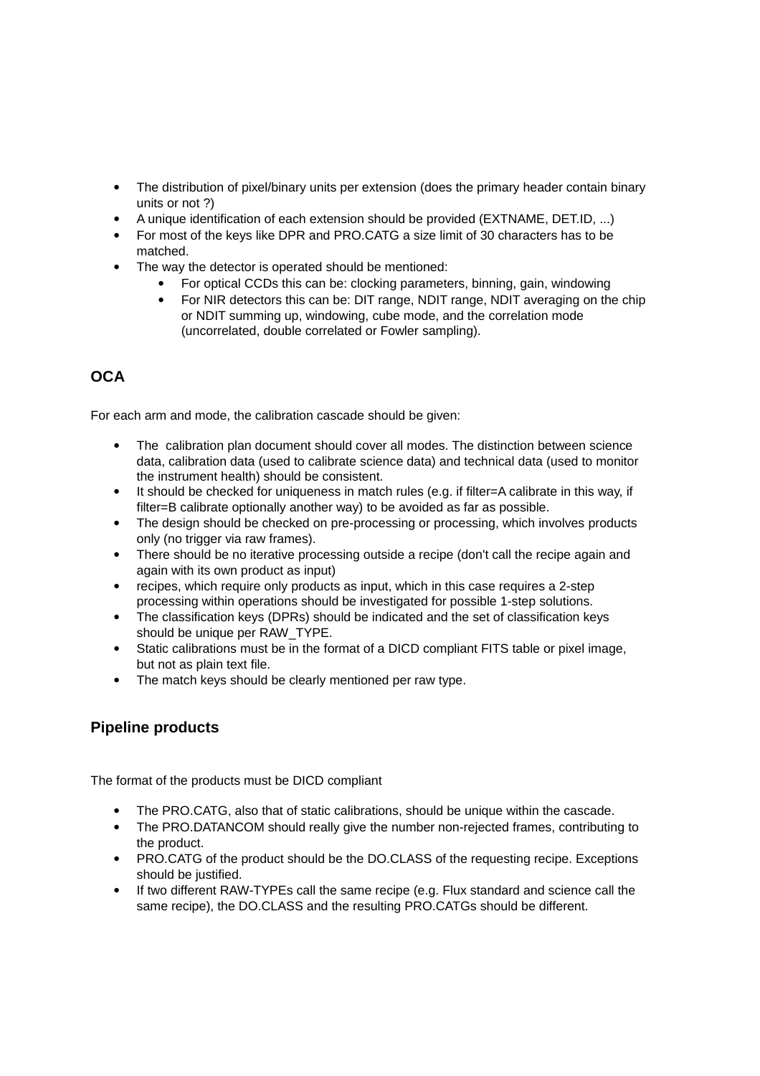- The distribution of pixel/binary units per extension (does the primary header contain binary units or not ?)
- A unique identification of each extension should be provided (EXTNAME, DET.ID, ...)
- For most of the keys like DPR and PRO.CATG a size limit of 30 characters has to be matched.
- The way the detector is operated should be mentioned:
	- For optical CCDs this can be: clocking parameters, binning, gain, windowing
	- For NIR detectors this can be: DIT range, NDIT range, NDIT averaging on the chip or NDIT summing up, windowing, cube mode, and the correlation mode (uncorrelated, double correlated or Fowler sampling).

# **OCA**

For each arm and mode, the calibration cascade should be given:

- The calibration plan document should cover all modes. The distinction between science data, calibration data (used to calibrate science data) and technical data (used to monitor the instrument health) should be consistent.
- It should be checked for uniqueness in match rules (e.g. if filter=A calibrate in this way, if filter=B calibrate optionally another way) to be avoided as far as possible.
- The design should be checked on pre-processing or processing, which involves products only (no trigger via raw frames).
- There should be no iterative processing outside a recipe (don't call the recipe again and again with its own product as input)
- recipes, which require only products as input, which in this case requires a 2-step processing within operations should be investigated for possible 1-step solutions.
- The classification keys (DPRs) should be indicated and the set of classification keys should be unique per RAW\_TYPE.
- Static calibrations must be in the format of a DICD compliant FITS table or pixel image, but not as plain text file.
- The match keys should be clearly mentioned per raw type.

### **Pipeline products**

The format of the products must be DICD compliant

- The PRO.CATG, also that of static calibrations, should be unique within the cascade.
- The PRO.DATANCOM should really give the number non-rejected frames, contributing to the product.
- PRO.CATG of the product should be the DO.CLASS of the requesting recipe. Exceptions should be justified.
- If two different RAW-TYPEs call the same recipe (e.g. Flux standard and science call the same recipe), the DO.CLASS and the resulting PRO.CATGs should be different.